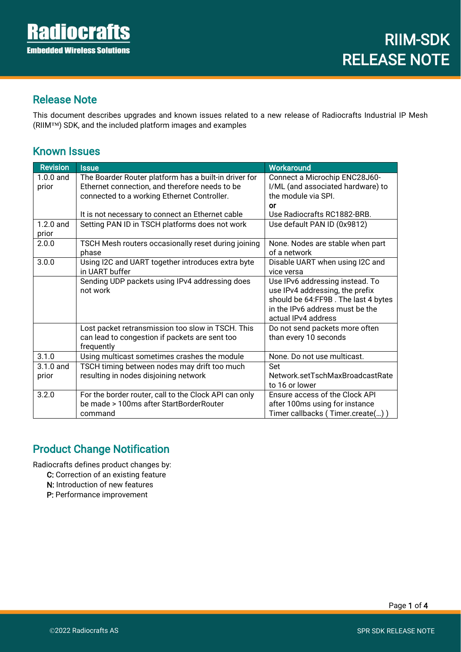İ

#### Release Note

This document describes upgrades and known issues related to a new release of Radiocrafts Industrial IP Mesh (RIIM™) SDK, and the included platform images and examples

#### Known Issues

| <b>Revision</b> | <b>Issue</b>                                          | Workaround                                               |  |
|-----------------|-------------------------------------------------------|----------------------------------------------------------|--|
| $1.0.0$ and     | The Boarder Router platform has a built-in driver for | Connect a Microchip ENC28J60-                            |  |
| prior           | Ethernet connection, and therefore needs to be        | I/ML (and associated hardware) to<br>the module via SPI. |  |
|                 | connected to a working Ethernet Controller.           |                                                          |  |
|                 |                                                       | or                                                       |  |
|                 | It is not necessary to connect an Ethernet cable      | Use Radiocrafts RC1882-BRB.                              |  |
| $1.2.0$ and     | Setting PAN ID in TSCH platforms does not work        | Use default PAN ID (0x9812)                              |  |
| prior           |                                                       |                                                          |  |
| 2.0.0           | TSCH Mesh routers occasionally reset during joining   | None. Nodes are stable when part                         |  |
|                 | phase                                                 | of a network                                             |  |
| 3.0.0           | Using I2C and UART together introduces extra byte     | Disable UART when using I2C and                          |  |
|                 | in UART buffer                                        | vice versa                                               |  |
|                 | Sending UDP packets using IPv4 addressing does        | Use IPv6 addressing instead. To                          |  |
|                 | not work                                              | use IPv4 addressing, the prefix                          |  |
|                 |                                                       | should be 64:FF9B. The last 4 bytes                      |  |
|                 |                                                       | in the IPv6 address must be the                          |  |
|                 |                                                       | actual IPv4 address                                      |  |
|                 | Lost packet retransmission too slow in TSCH. This     | Do not send packets more often                           |  |
|                 | can lead to congestion if packets are sent too        | than every 10 seconds                                    |  |
|                 | frequently                                            |                                                          |  |
| 3.1.0           | Using multicast sometimes crashes the module          | None. Do not use multicast.                              |  |
| $3.1.0$ and     | TSCH timing between nodes may drift too much          | Set                                                      |  |
| prior           | resulting in nodes disjoining network                 | Network.setTschMaxBroadcastRate                          |  |
|                 |                                                       | to 16 or lower                                           |  |
| 3.2.0           | For the border router, call to the Clock API can only | Ensure access of the Clock API                           |  |
|                 | be made > 100ms after StartBorderRouter               | after 100ms using for instance                           |  |
|                 | command                                               | Timer callbacks (Timer.create())                         |  |

### Product Change Notification

Radiocrafts defines product changes by:

- C: Correction of an existing feature
- N: Introduction of new features
- P: Performance improvement

Page 1 of 4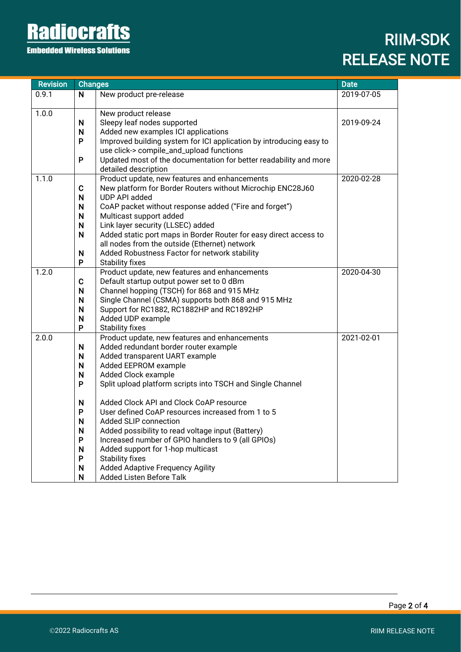# **Radiocrafts**

**Embedded Wireless Solutions** 

## RIIM-SDK RELEASE NOTE

| <b>Revision</b> | <b>Changes</b> |                                                                                                                    | <b>Date</b> |
|-----------------|----------------|--------------------------------------------------------------------------------------------------------------------|-------------|
| 0.9.1           | N              | New product pre-release                                                                                            | 2019-07-05  |
|                 |                |                                                                                                                    |             |
| 1.0.0           |                | New product release                                                                                                |             |
|                 | N              | Sleepy leaf nodes supported                                                                                        | 2019-09-24  |
|                 | $\mathsf{N}$   | Added new examples ICI applications                                                                                |             |
|                 | P              | Improved building system for ICI application by introducing easy to                                                |             |
|                 |                | use click-> compile_and_upload functions                                                                           |             |
|                 | P              | Updated most of the documentation for better readability and more                                                  |             |
|                 |                | detailed description                                                                                               |             |
| 1.1.0           |                | Product update, new features and enhancements                                                                      | 2020-02-28  |
|                 | C              | New platform for Border Routers without Microchip ENC28J60                                                         |             |
|                 | $\mathsf{N}$   | UDP API added                                                                                                      |             |
|                 | N              | CoAP packet without response added ("Fire and forget")                                                             |             |
|                 | $\mathsf{N}$   | Multicast support added                                                                                            |             |
|                 | N<br>N         | Link layer security (LLSEC) added                                                                                  |             |
|                 |                | Added static port maps in Border Router for easy direct access to<br>all nodes from the outside (Ethernet) network |             |
|                 | $\mathsf{N}$   | Added Robustness Factor for network stability                                                                      |             |
|                 | P              | <b>Stability fixes</b>                                                                                             |             |
| 1.2.0           |                | Product update, new features and enhancements                                                                      | 2020-04-30  |
|                 | $\mathbf C$    | Default startup output power set to 0 dBm                                                                          |             |
|                 | N              | Channel hopping (TSCH) for 868 and 915 MHz                                                                         |             |
|                 | $\mathsf{N}$   | Single Channel (CSMA) supports both 868 and 915 MHz                                                                |             |
|                 | N              | Support for RC1882, RC1882HP and RC1892HP                                                                          |             |
|                 | N              | Added UDP example                                                                                                  |             |
|                 | P              | <b>Stability fixes</b>                                                                                             |             |
| 2.0.0           |                | Product update, new features and enhancements                                                                      | 2021-02-01  |
|                 | N              | Added redundant border router example                                                                              |             |
|                 | $\mathsf{N}$   | Added transparent UART example                                                                                     |             |
|                 | $\mathsf{N}$   | Added EEPROM example                                                                                               |             |
|                 | N              | Added Clock example                                                                                                |             |
|                 | P              | Split upload platform scripts into TSCH and Single Channel                                                         |             |
|                 | N              | Added Clock API and Clock CoAP resource                                                                            |             |
|                 | P              | User defined CoAP resources increased from 1 to 5                                                                  |             |
|                 | $\mathsf{N}$   | Added SLIP connection                                                                                              |             |
|                 | N              | Added possibility to read voltage input (Battery)                                                                  |             |
|                 | P              | Increased number of GPIO handlers to 9 (all GPIOs)                                                                 |             |
|                 | N              | Added support for 1-hop multicast                                                                                  |             |
|                 | P              | <b>Stability fixes</b>                                                                                             |             |
|                 | N              | <b>Added Adaptive Frequency Agility</b>                                                                            |             |
|                 | N              | Added Listen Before Talk                                                                                           |             |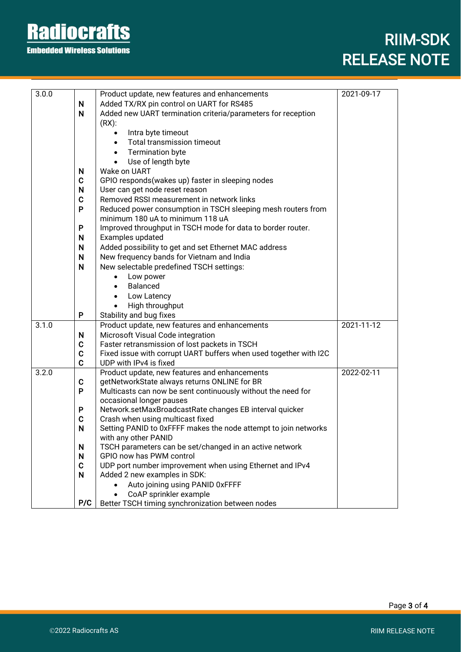### **Radiocrafts Embedded Wireless Solutions**

### RIIM-SDK RELEASE NOTE

İ

| 3.0.0 |                            | Product update, new features and enhancements                                                    | 2021-09-17 |
|-------|----------------------------|--------------------------------------------------------------------------------------------------|------------|
|       | N                          | Added TX/RX pin control on UART for RS485                                                        |            |
|       | $\mathsf{N}$               | Added new UART termination criteria/parameters for reception                                     |            |
|       |                            | $(RX)$ :                                                                                         |            |
|       |                            | Intra byte timeout                                                                               |            |
|       |                            | <b>Total transmission timeout</b><br>$\bullet$                                                   |            |
|       |                            | <b>Termination byte</b><br>$\bullet$                                                             |            |
|       |                            |                                                                                                  |            |
|       |                            | Use of length byte<br>$\bullet$<br>Wake on UART                                                  |            |
|       | N<br>$\mathbf C$           | GPIO responds(wakes up) faster in sleeping nodes                                                 |            |
|       | N                          | User can get node reset reason                                                                   |            |
|       | $\mathbf C$                | Removed RSSI measurement in network links                                                        |            |
|       | P                          |                                                                                                  |            |
|       |                            | Reduced power consumption in TSCH sleeping mesh routers from<br>minimum 180 uA to minimum 118 uA |            |
|       | P                          | Improved throughput in TSCH mode for data to border router.                                      |            |
|       | N                          | Examples updated                                                                                 |            |
|       | N                          |                                                                                                  |            |
|       | N                          | Added possibility to get and set Ethernet MAC address                                            |            |
|       |                            | New frequency bands for Vietnam and India                                                        |            |
|       | $\mathsf{N}$               | New selectable predefined TSCH settings:                                                         |            |
|       |                            | Low power                                                                                        |            |
|       |                            | <b>Balanced</b><br>$\bullet$                                                                     |            |
|       |                            | Low Latency<br>$\bullet$                                                                         |            |
|       |                            | High throughput                                                                                  |            |
|       | P                          | Stability and bug fixes                                                                          |            |
| 3.1.0 |                            | Product update, new features and enhancements                                                    | 2021-11-12 |
|       | N                          | Microsoft Visual Code integration                                                                |            |
|       | $\mathbf C$                | Faster retransmission of lost packets in TSCH                                                    |            |
|       | $\mathbf C$<br>$\mathbf C$ | Fixed issue with corrupt UART buffers when used together with I2C<br>UDP with IPv4 is fixed      |            |
| 3.2.0 |                            | Product update, new features and enhancements                                                    | 2022-02-11 |
|       | $\mathbf C$                | getNetworkState always returns ONLINE for BR                                                     |            |
|       | P                          | Multicasts can now be sent continuously without the need for                                     |            |
|       |                            | occasional longer pauses                                                                         |            |
|       | P                          | Network.setMaxBroadcastRate changes EB interval quicker                                          |            |
|       | $\mathbf C$                | Crash when using multicast fixed                                                                 |            |
|       | N                          | Setting PANID to 0xFFFF makes the node attempt to join networks                                  |            |
|       |                            | with any other PANID                                                                             |            |
|       | N                          | TSCH parameters can be set/changed in an active network                                          |            |
|       | N                          | GPIO now has PWM control                                                                         |            |
|       | $\mathbf C$                | UDP port number improvement when using Ethernet and IPv4                                         |            |
|       | N                          | Added 2 new examples in SDK:                                                                     |            |
|       |                            | Auto joining using PANID 0xFFFF                                                                  |            |
|       |                            | CoAP sprinkler example                                                                           |            |
|       | P/C                        | Better TSCH timing synchronization between nodes                                                 |            |